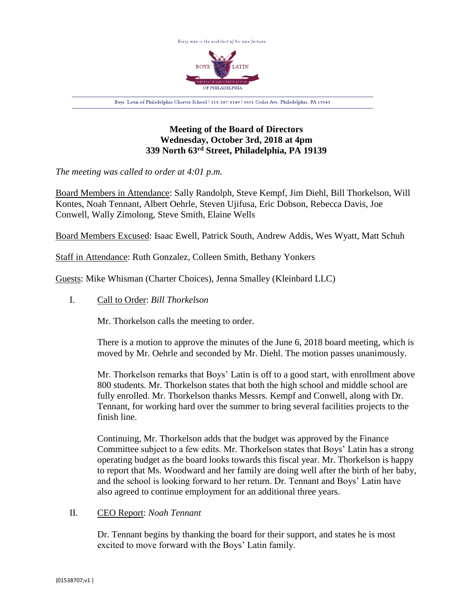

# **Meeting of the Board of Directors Wednesday, October 3rd, 2018 at 4pm 339 North 63rd Street, Philadelphia, PA 19139**

*The meeting was called to order at 4:01 p.m.*

Board Members in Attendance: Sally Randolph, Steve Kempf, Jim Diehl, Bill Thorkelson, Will Kontes, Noah Tennant, Albert Oehrle, Steven Ujifusa, Eric Dobson, Rebecca Davis, Joe Conwell, Wally Zimolong, Steve Smith, Elaine Wells

Board Members Excused: Isaac Ewell, Patrick South, Andrew Addis, Wes Wyatt, Matt Schuh

Staff in Attendance: Ruth Gonzalez, Colleen Smith, Bethany Yonkers

Guests: Mike Whisman (Charter Choices), Jenna Smalley (Kleinbard LLC)

I. Call to Order: *Bill Thorkelson*

Mr. Thorkelson calls the meeting to order.

There is a motion to approve the minutes of the June 6, 2018 board meeting, which is moved by Mr. Oehrle and seconded by Mr. Diehl. The motion passes unanimously.

Mr. Thorkelson remarks that Boys' Latin is off to a good start, with enrollment above 800 students. Mr. Thorkelson states that both the high school and middle school are fully enrolled. Mr. Thorkelson thanks Messrs. Kempf and Conwell, along with Dr. Tennant, for working hard over the summer to bring several facilities projects to the finish line.

Continuing, Mr. Thorkelson adds that the budget was approved by the Finance Committee subject to a few edits. Mr. Thorkelson states that Boys' Latin has a strong operating budget as the board looks towards this fiscal year. Mr. Thorkelson is happy to report that Ms. Woodward and her family are doing well after the birth of her baby, and the school is looking forward to her return. Dr. Tennant and Boys' Latin have also agreed to continue employment for an additional three years.

## II. CEO Report: *Noah Tennant*

Dr. Tennant begins by thanking the board for their support, and states he is most excited to move forward with the Boys' Latin family.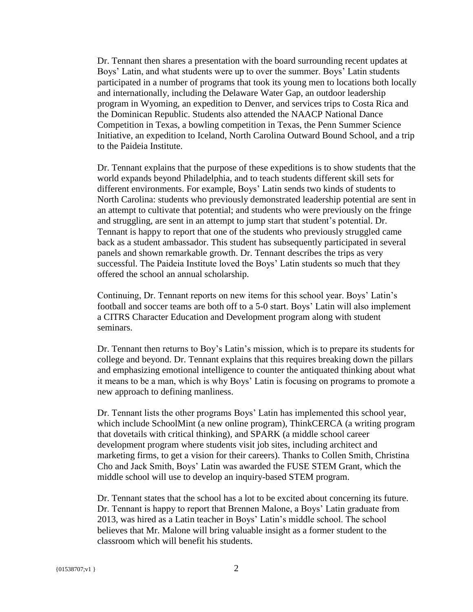Dr. Tennant then shares a presentation with the board surrounding recent updates at Boys' Latin, and what students were up to over the summer. Boys' Latin students participated in a number of programs that took its young men to locations both locally and internationally, including the Delaware Water Gap, an outdoor leadership program in Wyoming, an expedition to Denver, and services trips to Costa Rica and the Dominican Republic. Students also attended the NAACP National Dance Competition in Texas, a bowling competition in Texas, the Penn Summer Science Initiative, an expedition to Iceland, North Carolina Outward Bound School, and a trip to the Paideia Institute.

Dr. Tennant explains that the purpose of these expeditions is to show students that the world expands beyond Philadelphia, and to teach students different skill sets for different environments. For example, Boys' Latin sends two kinds of students to North Carolina: students who previously demonstrated leadership potential are sent in an attempt to cultivate that potential; and students who were previously on the fringe and struggling, are sent in an attempt to jump start that student's potential. Dr. Tennant is happy to report that one of the students who previously struggled came back as a student ambassador. This student has subsequently participated in several panels and shown remarkable growth. Dr. Tennant describes the trips as very successful. The Paideia Institute loved the Boys' Latin students so much that they offered the school an annual scholarship.

Continuing, Dr. Tennant reports on new items for this school year. Boys' Latin's football and soccer teams are both off to a 5-0 start. Boys' Latin will also implement a CITRS Character Education and Development program along with student seminars.

Dr. Tennant then returns to Boy's Latin's mission, which is to prepare its students for college and beyond. Dr. Tennant explains that this requires breaking down the pillars and emphasizing emotional intelligence to counter the antiquated thinking about what it means to be a man, which is why Boys' Latin is focusing on programs to promote a new approach to defining manliness.

Dr. Tennant lists the other programs Boys' Latin has implemented this school year, which include SchoolMint (a new online program), ThinkCERCA (a writing program that dovetails with critical thinking), and SPARK (a middle school career development program where students visit job sites, including architect and marketing firms, to get a vision for their careers). Thanks to Collen Smith, Christina Cho and Jack Smith, Boys' Latin was awarded the FUSE STEM Grant, which the middle school will use to develop an inquiry-based STEM program.

Dr. Tennant states that the school has a lot to be excited about concerning its future. Dr. Tennant is happy to report that Brennen Malone, a Boys' Latin graduate from 2013, was hired as a Latin teacher in Boys' Latin's middle school. The school believes that Mr. Malone will bring valuable insight as a former student to the classroom which will benefit his students.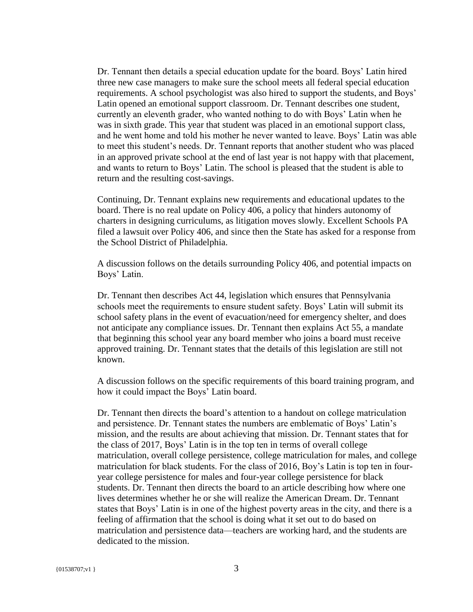Dr. Tennant then details a special education update for the board. Boys' Latin hired three new case managers to make sure the school meets all federal special education requirements. A school psychologist was also hired to support the students, and Boys' Latin opened an emotional support classroom. Dr. Tennant describes one student, currently an eleventh grader, who wanted nothing to do with Boys' Latin when he was in sixth grade. This year that student was placed in an emotional support class, and he went home and told his mother he never wanted to leave. Boys' Latin was able to meet this student's needs. Dr. Tennant reports that another student who was placed in an approved private school at the end of last year is not happy with that placement, and wants to return to Boys' Latin. The school is pleased that the student is able to return and the resulting cost-savings.

Continuing, Dr. Tennant explains new requirements and educational updates to the board. There is no real update on Policy 406, a policy that hinders autonomy of charters in designing curriculums, as litigation moves slowly. Excellent Schools PA filed a lawsuit over Policy 406, and since then the State has asked for a response from the School District of Philadelphia.

A discussion follows on the details surrounding Policy 406, and potential impacts on Boys' Latin.

Dr. Tennant then describes Act 44, legislation which ensures that Pennsylvania schools meet the requirements to ensure student safety. Boys' Latin will submit its school safety plans in the event of evacuation/need for emergency shelter, and does not anticipate any compliance issues. Dr. Tennant then explains Act 55, a mandate that beginning this school year any board member who joins a board must receive approved training. Dr. Tennant states that the details of this legislation are still not known.

A discussion follows on the specific requirements of this board training program, and how it could impact the Boys' Latin board.

Dr. Tennant then directs the board's attention to a handout on college matriculation and persistence. Dr. Tennant states the numbers are emblematic of Boys' Latin's mission, and the results are about achieving that mission. Dr. Tennant states that for the class of 2017, Boys' Latin is in the top ten in terms of overall college matriculation, overall college persistence, college matriculation for males, and college matriculation for black students. For the class of 2016, Boy's Latin is top ten in fouryear college persistence for males and four-year college persistence for black students. Dr. Tennant then directs the board to an article describing how where one lives determines whether he or she will realize the American Dream. Dr. Tennant states that Boys' Latin is in one of the highest poverty areas in the city, and there is a feeling of affirmation that the school is doing what it set out to do based on matriculation and persistence data—teachers are working hard, and the students are dedicated to the mission.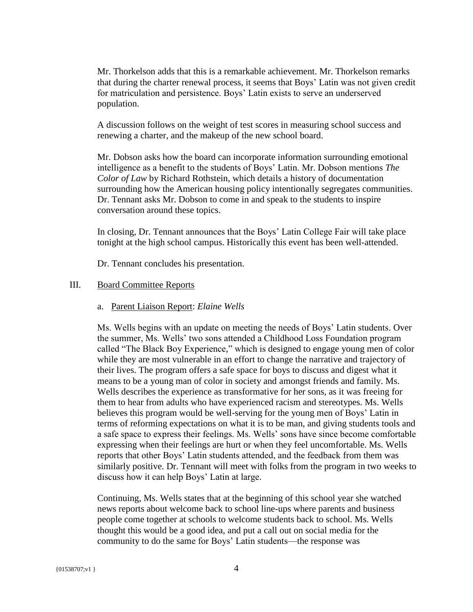Mr. Thorkelson adds that this is a remarkable achievement. Mr. Thorkelson remarks that during the charter renewal process, it seems that Boys' Latin was not given credit for matriculation and persistence. Boys' Latin exists to serve an underserved population.

A discussion follows on the weight of test scores in measuring school success and renewing a charter, and the makeup of the new school board.

Mr. Dobson asks how the board can incorporate information surrounding emotional intelligence as a benefit to the students of Boys' Latin. Mr. Dobson mentions *The Color of Law* by Richard Rothstein, which details a history of documentation surrounding how the American housing policy intentionally segregates communities. Dr. Tennant asks Mr. Dobson to come in and speak to the students to inspire conversation around these topics.

In closing, Dr. Tennant announces that the Boys' Latin College Fair will take place tonight at the high school campus. Historically this event has been well-attended.

Dr. Tennant concludes his presentation.

## III. Board Committee Reports

### a. Parent Liaison Report: *Elaine Wells*

Ms. Wells begins with an update on meeting the needs of Boys' Latin students. Over the summer, Ms. Wells' two sons attended a Childhood Loss Foundation program called "The Black Boy Experience," which is designed to engage young men of color while they are most vulnerable in an effort to change the narrative and trajectory of their lives. The program offers a safe space for boys to discuss and digest what it means to be a young man of color in society and amongst friends and family. Ms. Wells describes the experience as transformative for her sons, as it was freeing for them to hear from adults who have experienced racism and stereotypes. Ms. Wells believes this program would be well-serving for the young men of Boys' Latin in terms of reforming expectations on what it is to be man, and giving students tools and a safe space to express their feelings. Ms. Wells' sons have since become comfortable expressing when their feelings are hurt or when they feel uncomfortable. Ms. Wells reports that other Boys' Latin students attended, and the feedback from them was similarly positive. Dr. Tennant will meet with folks from the program in two weeks to discuss how it can help Boys' Latin at large.

Continuing, Ms. Wells states that at the beginning of this school year she watched news reports about welcome back to school line-ups where parents and business people come together at schools to welcome students back to school. Ms. Wells thought this would be a good idea, and put a call out on social media for the community to do the same for Boys' Latin students—the response was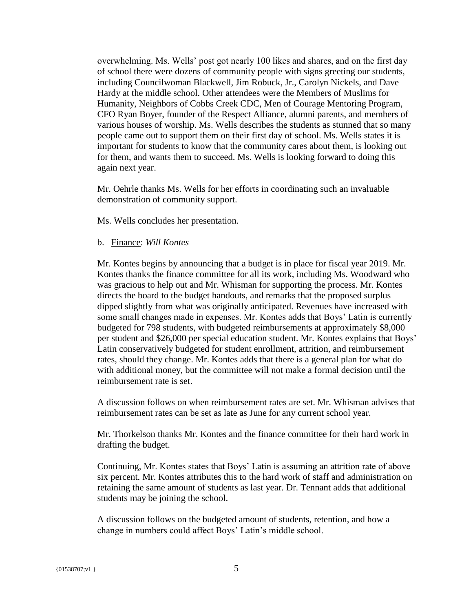overwhelming. Ms. Wells' post got nearly 100 likes and shares, and on the first day of school there were dozens of community people with signs greeting our students, including Councilwoman Blackwell, Jim Robuck, Jr., Carolyn Nickels, and Dave Hardy at the middle school. Other attendees were the Members of Muslims for Humanity, Neighbors of Cobbs Creek CDC, Men of Courage Mentoring Program, CFO Ryan Boyer, founder of the Respect Alliance, alumni parents, and members of various houses of worship. Ms. Wells describes the students as stunned that so many people came out to support them on their first day of school. Ms. Wells states it is important for students to know that the community cares about them, is looking out for them, and wants them to succeed. Ms. Wells is looking forward to doing this again next year.

Mr. Oehrle thanks Ms. Wells for her efforts in coordinating such an invaluable demonstration of community support.

Ms. Wells concludes her presentation.

b. Finance: *Will Kontes*

Mr. Kontes begins by announcing that a budget is in place for fiscal year 2019. Mr. Kontes thanks the finance committee for all its work, including Ms. Woodward who was gracious to help out and Mr. Whisman for supporting the process. Mr. Kontes directs the board to the budget handouts, and remarks that the proposed surplus dipped slightly from what was originally anticipated. Revenues have increased with some small changes made in expenses. Mr. Kontes adds that Boys' Latin is currently budgeted for 798 students, with budgeted reimbursements at approximately \$8,000 per student and \$26,000 per special education student. Mr. Kontes explains that Boys' Latin conservatively budgeted for student enrollment, attrition, and reimbursement rates, should they change. Mr. Kontes adds that there is a general plan for what do with additional money, but the committee will not make a formal decision until the reimbursement rate is set.

A discussion follows on when reimbursement rates are set. Mr. Whisman advises that reimbursement rates can be set as late as June for any current school year.

Mr. Thorkelson thanks Mr. Kontes and the finance committee for their hard work in drafting the budget.

Continuing, Mr. Kontes states that Boys' Latin is assuming an attrition rate of above six percent. Mr. Kontes attributes this to the hard work of staff and administration on retaining the same amount of students as last year. Dr. Tennant adds that additional students may be joining the school.

A discussion follows on the budgeted amount of students, retention, and how a change in numbers could affect Boys' Latin's middle school.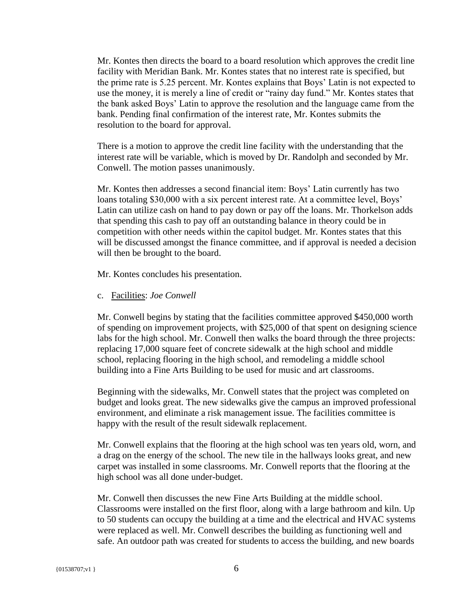Mr. Kontes then directs the board to a board resolution which approves the credit line facility with Meridian Bank. Mr. Kontes states that no interest rate is specified, but the prime rate is 5.25 percent. Mr. Kontes explains that Boys' Latin is not expected to use the money, it is merely a line of credit or "rainy day fund." Mr. Kontes states that the bank asked Boys' Latin to approve the resolution and the language came from the bank. Pending final confirmation of the interest rate, Mr. Kontes submits the resolution to the board for approval.

There is a motion to approve the credit line facility with the understanding that the interest rate will be variable, which is moved by Dr. Randolph and seconded by Mr. Conwell. The motion passes unanimously.

Mr. Kontes then addresses a second financial item: Boys' Latin currently has two loans totaling \$30,000 with a six percent interest rate. At a committee level, Boys' Latin can utilize cash on hand to pay down or pay off the loans. Mr. Thorkelson adds that spending this cash to pay off an outstanding balance in theory could be in competition with other needs within the capitol budget. Mr. Kontes states that this will be discussed amongst the finance committee, and if approval is needed a decision will then be brought to the board.

Mr. Kontes concludes his presentation.

c. Facilities: *Joe Conwell*

Mr. Conwell begins by stating that the facilities committee approved \$450,000 worth of spending on improvement projects, with \$25,000 of that spent on designing science labs for the high school. Mr. Conwell then walks the board through the three projects: replacing 17,000 square feet of concrete sidewalk at the high school and middle school, replacing flooring in the high school, and remodeling a middle school building into a Fine Arts Building to be used for music and art classrooms.

Beginning with the sidewalks, Mr. Conwell states that the project was completed on budget and looks great. The new sidewalks give the campus an improved professional environment, and eliminate a risk management issue. The facilities committee is happy with the result of the result sidewalk replacement.

Mr. Conwell explains that the flooring at the high school was ten years old, worn, and a drag on the energy of the school. The new tile in the hallways looks great, and new carpet was installed in some classrooms. Mr. Conwell reports that the flooring at the high school was all done under-budget.

Mr. Conwell then discusses the new Fine Arts Building at the middle school. Classrooms were installed on the first floor, along with a large bathroom and kiln. Up to 50 students can occupy the building at a time and the electrical and HVAC systems were replaced as well. Mr. Conwell describes the building as functioning well and safe. An outdoor path was created for students to access the building, and new boards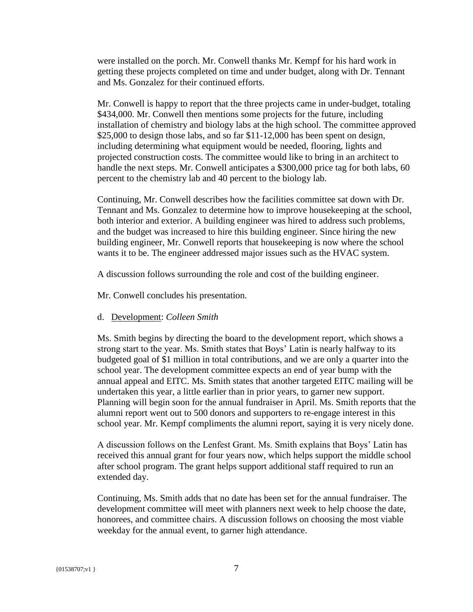were installed on the porch. Mr. Conwell thanks Mr. Kempf for his hard work in getting these projects completed on time and under budget, along with Dr. Tennant and Ms. Gonzalez for their continued efforts.

Mr. Conwell is happy to report that the three projects came in under-budget, totaling \$434,000. Mr. Conwell then mentions some projects for the future, including installation of chemistry and biology labs at the high school. The committee approved \$25,000 to design those labs, and so far \$11-12,000 has been spent on design, including determining what equipment would be needed, flooring, lights and projected construction costs. The committee would like to bring in an architect to handle the next steps. Mr. Conwell anticipates a \$300,000 price tag for both labs, 60 percent to the chemistry lab and 40 percent to the biology lab.

Continuing, Mr. Conwell describes how the facilities committee sat down with Dr. Tennant and Ms. Gonzalez to determine how to improve housekeeping at the school, both interior and exterior. A building engineer was hired to address such problems, and the budget was increased to hire this building engineer. Since hiring the new building engineer, Mr. Conwell reports that housekeeping is now where the school wants it to be. The engineer addressed major issues such as the HVAC system.

A discussion follows surrounding the role and cost of the building engineer.

Mr. Conwell concludes his presentation.

### d. Development: *Colleen Smith*

Ms. Smith begins by directing the board to the development report, which shows a strong start to the year. Ms. Smith states that Boys' Latin is nearly halfway to its budgeted goal of \$1 million in total contributions, and we are only a quarter into the school year. The development committee expects an end of year bump with the annual appeal and EITC. Ms. Smith states that another targeted EITC mailing will be undertaken this year, a little earlier than in prior years, to garner new support. Planning will begin soon for the annual fundraiser in April. Ms. Smith reports that the alumni report went out to 500 donors and supporters to re-engage interest in this school year. Mr. Kempf compliments the alumni report, saying it is very nicely done.

A discussion follows on the Lenfest Grant. Ms. Smith explains that Boys' Latin has received this annual grant for four years now, which helps support the middle school after school program. The grant helps support additional staff required to run an extended day.

Continuing, Ms. Smith adds that no date has been set for the annual fundraiser. The development committee will meet with planners next week to help choose the date, honorees, and committee chairs. A discussion follows on choosing the most viable weekday for the annual event, to garner high attendance.